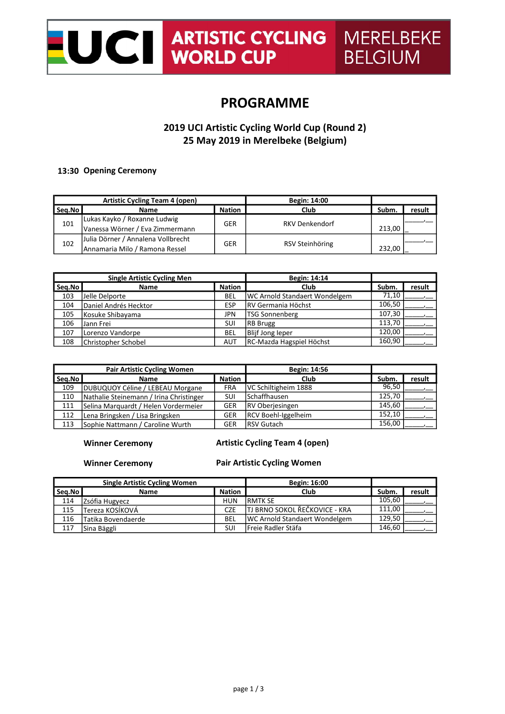# **ARTISTIC CYCLING MERELBEKE LUCI**

## PROGRAMME

## 2019 UCI Artistic Cycling World Cup (Round 2) 25 May 2019 in Merelbeke (Belgium)

### 13:30 Opening Ceremony

| <b>Artistic Cycling Team 4 (open)</b> |                                    |               | <b>Begin: 14:00</b>   |        |        |  |
|---------------------------------------|------------------------------------|---------------|-----------------------|--------|--------|--|
| Seg.No                                | <b>Name</b>                        | <b>Nation</b> | Club                  | Subm.  | result |  |
| 101                                   | Lukas Kayko / Roxanne Ludwig       | GER           | <b>RKV Denkendorf</b> |        |        |  |
|                                       | Vanessa Wörner / Eva Zimmermann    |               |                       | 213.00 |        |  |
| 102                                   | Julia Dörner / Annalena Vollbrecht |               | GER                   |        |        |  |
|                                       | Annamaria Milo / Ramona Ressel     |               | RSV Steinhöring       | 232.00 |        |  |

| <b>Single Artistic Cycling Men</b> |                       |               | Begin: 14:14                         |        |        |
|------------------------------------|-----------------------|---------------|--------------------------------------|--------|--------|
| Seq.No                             | <b>Name</b>           | <b>Nation</b> | Club                                 | Subm.  | result |
| 103                                | Jelle Delporte        | BEL           | <b>WC Arnold Standaert Wondelgem</b> | 71.10  |        |
| 104                                | Daniel Andrés Hecktor | ESP           | <b>IRV Germania Höchst</b>           | 106,50 |        |
| 105                                | Kosuke Shibayama      | JPN           | <b>TSG Sonnenberg</b>                | 107,30 |        |
| 106                                | Jann Frei             | <b>SUI</b>    | <b>RB</b> Brugg                      | 113.70 |        |
| 107                                | Lorenzo Vandorpe      | BEL           | Blijf Jong leper                     | 120,00 |        |
| 108                                | Christopher Schobel   | <b>AUT</b>    | RC-Mazda Hagspiel Höchst             | 160,90 |        |

|        | <b>Pair Artistic Cycling Women</b>      | Begin: 14:56  |                        |        |        |
|--------|-----------------------------------------|---------------|------------------------|--------|--------|
| Sea.No | <b>Name</b>                             | <b>Nation</b> | <b>Club</b>            | Subm.  | result |
| 109    | DUBUQUOY Céline / LEBEAU Morgane        | <b>FRA</b>    | VC Schiltigheim 1888   | 96.50  |        |
| 110    | Nathalie Steinemann / Irina Christinger | SUI           | <b>Schaffhausen</b>    | 125.70 |        |
| 111    | Selina Marquardt / Helen Vordermeier    | <b>GER</b>    | <b>RV</b> Oberjesingen | 145.60 |        |
| 112    | Lena Bringsken / Lisa Bringsken         | <b>GER</b>    | RCV Boehl-Iggelheim    | 152.10 |        |
| 113    | Sophie Nattmann / Caroline Wurth        | <b>GER</b>    | <b>RSV Gutach</b>      | 156.00 |        |

### Winner Ceremony

## Artistic Cycling Team 4 (open)

#### Winner Ceremony

## Pair Artistic Cycling Women

| <b>Single Artistic Cycling Women</b> |                    |               | Begin: 16:00                          |        |        |
|--------------------------------------|--------------------|---------------|---------------------------------------|--------|--------|
| Seq.No                               | <b>Name</b>        | <b>Nation</b> | Club                                  | Subm.  | result |
| 114                                  | Zsófia Hugyecz     | <b>HUN</b>    | <b>IRMTK SE</b>                       | 105.60 |        |
| 115                                  | Tereza KOSÍKOVÁ    | CZE           | TJ BRNO SOKOL ŘEČKOVICE - KRA         | 111.00 |        |
| 116                                  | Tatika Bovendaerde | <b>BEL</b>    | <b>IWC Arnold Standaert Wondelgem</b> | 129.50 |        |
| 117                                  | lSina Bäggli       | SUI           | <b>IFreie Radler Stäfa</b>            | 146.60 |        |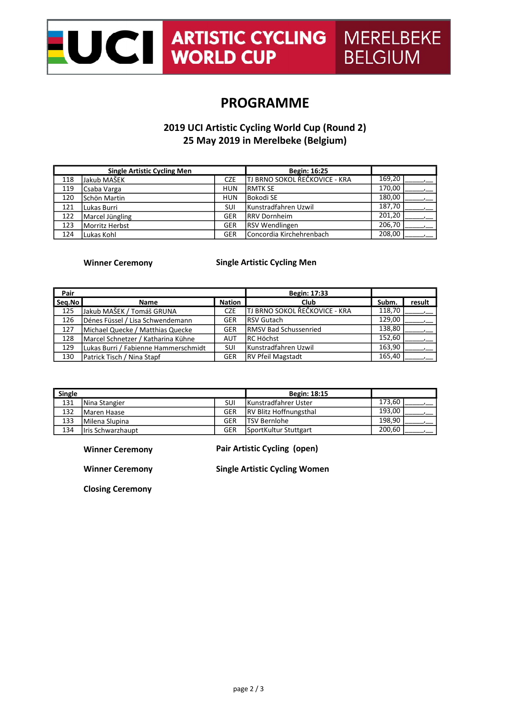# NERELBEKE<br>
WORLD CUP BELGIUM

## PROGRAMME

## 2019 UCI Artistic Cycling World Cup (Round 2) 25 May 2019 in Merelbeke (Belgium)

|     | <b>Single Artistic Cycling Men</b> | Begin: 16:25 |                               |        |  |
|-----|------------------------------------|--------------|-------------------------------|--------|--|
| 118 | Jakub MAŠEK                        | CZE          | TJ BRNO SOKOL ŘEČKOVICE - KRA | 169,20 |  |
| 119 | Csaba Varga                        | <b>HUN</b>   | <b>RMTK SE</b>                | 170,00 |  |
| 120 | Schön Martin                       | <b>HUN</b>   | <b>Bokodi SE</b>              | 180,00 |  |
| 121 | Lukas Burri                        | SUI          | Kunstradfahren Uzwil          | 187,70 |  |
| 122 | Marcel Jüngling                    | <b>GER</b>   | <b>RRV Dornheim</b>           | 201,20 |  |
| 123 | Morritz Herbst                     | <b>GER</b>   | <b>RSV Wendlingen</b>         | 206,70 |  |
| 124 | Lukas Kohl                         | <b>GER</b>   | IConcordia Kirchehrenbach     | 208,00 |  |

## Winner Ceremony

### Single Artistic Cycling Men

| Pair   |                                      | Begin: 17:33  |                                       |        |        |
|--------|--------------------------------------|---------------|---------------------------------------|--------|--------|
| Sea.No | <b>Name</b>                          | <b>Nation</b> | Club                                  | Subm.  | result |
| 125    | Jakub MAŠEK / Tomáš GRUNA            | <b>CZE</b>    | <b>ITJ BRNO SOKOL ŘEČKOVICE - KRA</b> | 118,70 |        |
| 126    | Dénes Füssel / Lisa Schwendemann     | <b>GER</b>    | <b>RSV Gutach</b>                     | 129.00 |        |
| 127    | Michael Quecke / Matthias Quecke     | <b>GER</b>    | <b>RMSV Bad Schussenried</b>          | 138.80 |        |
| 128    | Marcel Schnetzer / Katharina Kühne   | <b>AUT</b>    | <b>IRC Höchst</b>                     | 152.60 |        |
| 129    | Lukas Burri / Fabienne Hammerschmidt | SUI           | Kunstradfahren Uzwil                  | 163.90 |        |
| 130    | Patrick Tisch / Nina Stapf           | <b>GER</b>    | <b>RV Pfeil Magstadt</b>              | 165.40 |        |

| <b>Single</b> |                    | <b>Begin: 18:15</b> |                               |        |  |
|---------------|--------------------|---------------------|-------------------------------|--------|--|
| 131           | Nina Stangier      | SUI                 | Kunstradfahrer Uster          | 173.60 |  |
| 132           | Maren Haase        | GER                 | <b>RV Blitz Hoffnungsthal</b> | 193.00 |  |
| 133           | Milena Slupina     | GER                 | lTSV Bernlohe                 | 198.90 |  |
| 134           | Ilris Schwarzhaupt | GER                 | SportKultur Stuttgart         | 200.60 |  |

Winner Ceremony

Pair Artistic Cycling (open)

Winner Ceremony

Single Artistic Cycling Women

Closing Ceremony